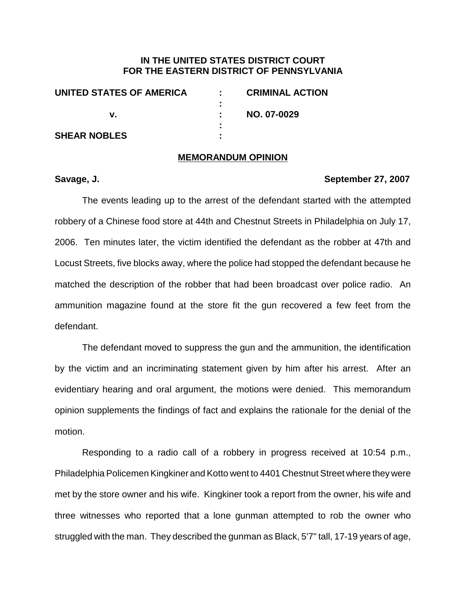# **IN THE UNITED STATES DISTRICT COURT FOR THE EASTERN DISTRICT OF PENNSYLVANIA**

| UNITED STATES OF AMERICA |   | <b>CRIMINAL ACTION</b> |
|--------------------------|---|------------------------|
|                          |   |                        |
|                          |   | NO. 07-0029            |
|                          | ٠ |                        |
| <b>SHEAR NOBLES</b>      | ٠ |                        |

## **MEMORANDUM OPINION**

# **Savage, J. September 27, 2007**

The events leading up to the arrest of the defendant started with the attempted robbery of a Chinese food store at 44th and Chestnut Streets in Philadelphia on July 17, 2006. Ten minutes later, the victim identified the defendant as the robber at 47th and Locust Streets, five blocks away, where the police had stopped the defendant because he matched the description of the robber that had been broadcast over police radio. An ammunition magazine found at the store fit the gun recovered a few feet from the defendant.

The defendant moved to suppress the gun and the ammunition, the identification by the victim and an incriminating statement given by him after his arrest. After an evidentiary hearing and oral argument, the motions were denied. This memorandum opinion supplements the findings of fact and explains the rationale for the denial of the motion.

Responding to a radio call of a robbery in progress received at 10:54 p.m., Philadelphia Policemen Kingkiner and Kotto went to 4401 Chestnut Street where they were met by the store owner and his wife. Kingkiner took a report from the owner, his wife and three witnesses who reported that a lone gunman attempted to rob the owner who struggled with the man. They described the gunman as Black, 5'7" tall, 17-19 years of age,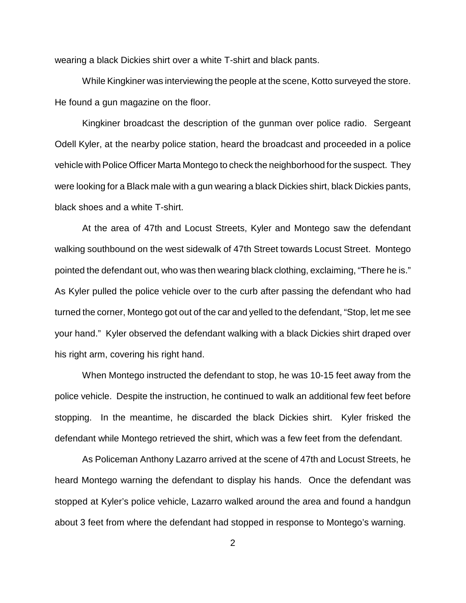wearing a black Dickies shirt over a white T-shirt and black pants.

While Kingkiner was interviewing the people at the scene, Kotto surveyed the store. He found a gun magazine on the floor.

Kingkiner broadcast the description of the gunman over police radio. Sergeant Odell Kyler, at the nearby police station, heard the broadcast and proceeded in a police vehicle with Police Officer Marta Montego to check the neighborhood for the suspect. They were looking for a Black male with a gun wearing a black Dickies shirt, black Dickies pants, black shoes and a white T-shirt.

At the area of 47th and Locust Streets, Kyler and Montego saw the defendant walking southbound on the west sidewalk of 47th Street towards Locust Street. Montego pointed the defendant out, who was then wearing black clothing, exclaiming, "There he is." As Kyler pulled the police vehicle over to the curb after passing the defendant who had turned the corner, Montego got out of the car and yelled to the defendant, "Stop, let me see your hand." Kyler observed the defendant walking with a black Dickies shirt draped over his right arm, covering his right hand.

When Montego instructed the defendant to stop, he was 10-15 feet away from the police vehicle. Despite the instruction, he continued to walk an additional few feet before stopping. In the meantime, he discarded the black Dickies shirt. Kyler frisked the defendant while Montego retrieved the shirt, which was a few feet from the defendant.

As Policeman Anthony Lazarro arrived at the scene of 47th and Locust Streets, he heard Montego warning the defendant to display his hands. Once the defendant was stopped at Kyler's police vehicle, Lazarro walked around the area and found a handgun about 3 feet from where the defendant had stopped in response to Montego's warning.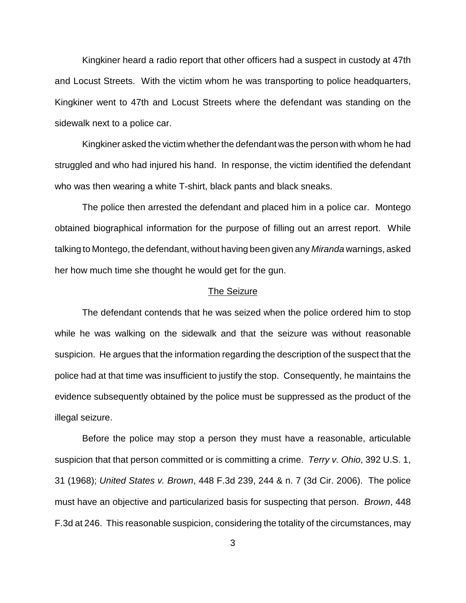Kingkiner heard a radio report that other officers had a suspect in custody at 47th and Locust Streets. With the victim whom he was transporting to police headquarters, Kingkiner went to 47th and Locust Streets where the defendant was standing on the sidewalk next to a police car.

Kingkiner asked the victim whether the defendant was the person with whom he had struggled and who had injured his hand. In response, the victim identified the defendant who was then wearing a white T-shirt, black pants and black sneaks.

The police then arrested the defendant and placed him in a police car. Montego obtained biographical information for the purpose of filling out an arrest report. While talking to Montego, the defendant, without having been given any Miranda warnings, asked her how much time she thought he would get for the gun.

#### The Seizure

The defendant contends that he was seized when the police ordered him to stop while he was walking on the sidewalk and that the seizure was without reasonable suspicion. He argues that the information regarding the description of the suspect that the police had at that time was insufficient to justify the stop. Consequently, he maintains the evidence subsequently obtained by the police must be suppressed as the product of the illegal seizure.

Before the police may stop a person they must have a reasonable, articulable suspicion that that person committed or is committing a crime. Terry v. Ohio, 392 U.S. 1, 31 (1968); United States v. Brown, 448 F.3d 239, 244 & n. 7 (3d Cir. 2006). The police must have an objective and particularized basis for suspecting that person. Brown, 448 F.3d at 246. This reasonable suspicion, considering the totality of the circumstances, may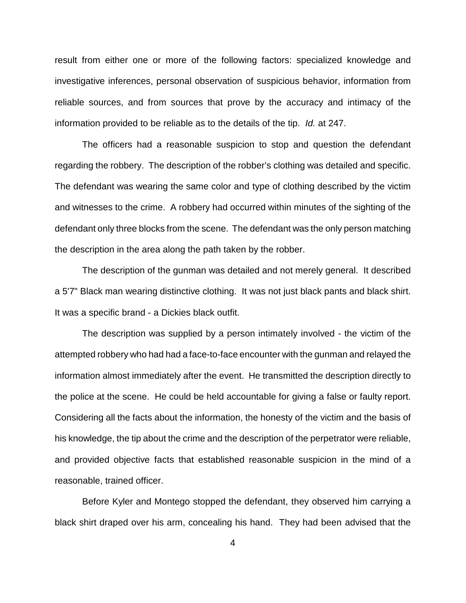result from either one or more of the following factors: specialized knowledge and investigative inferences, personal observation of suspicious behavior, information from reliable sources, and from sources that prove by the accuracy and intimacy of the information provided to be reliable as to the details of the tip. Id. at 247.

The officers had a reasonable suspicion to stop and question the defendant regarding the robbery. The description of the robber's clothing was detailed and specific. The defendant was wearing the same color and type of clothing described by the victim and witnesses to the crime. A robbery had occurred within minutes of the sighting of the defendant only three blocks from the scene. The defendant was the only person matching the description in the area along the path taken by the robber.

The description of the gunman was detailed and not merely general. It described a 5'7" Black man wearing distinctive clothing. It was not just black pants and black shirt. It was a specific brand - a Dickies black outfit.

The description was supplied by a person intimately involved - the victim of the attempted robbery who had had a face-to-face encounter with the gunman and relayed the information almost immediately after the event. He transmitted the description directly to the police at the scene. He could be held accountable for giving a false or faulty report. Considering all the facts about the information, the honesty of the victim and the basis of his knowledge, the tip about the crime and the description of the perpetrator were reliable, and provided objective facts that established reasonable suspicion in the mind of a reasonable, trained officer.

Before Kyler and Montego stopped the defendant, they observed him carrying a black shirt draped over his arm, concealing his hand. They had been advised that the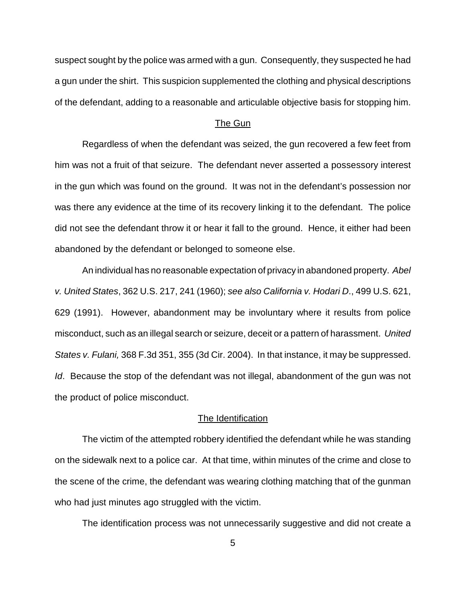suspect sought by the police was armed with a gun. Consequently, they suspected he had a gun under the shirt. This suspicion supplemented the clothing and physical descriptions of the defendant, adding to a reasonable and articulable objective basis for stopping him.

## The Gun

Regardless of when the defendant was seized, the gun recovered a few feet from him was not a fruit of that seizure. The defendant never asserted a possessory interest in the gun which was found on the ground. It was not in the defendant's possession nor was there any evidence at the time of its recovery linking it to the defendant. The police did not see the defendant throw it or hear it fall to the ground. Hence, it either had been abandoned by the defendant or belonged to someone else.

An individual has no reasonable expectation of privacy in abandoned property. Abel v. United States, 362 U.S. 217, 241 (1960); see also California v. Hodari D., 499 U.S. 621, 629 (1991). However, abandonment may be involuntary where it results from police misconduct, such as an illegal search or seizure, deceit or a pattern of harassment. United States v. Fulani, 368 F.3d 351, 355 (3d Cir. 2004). In that instance, it may be suppressed. Id. Because the stop of the defendant was not illegal, abandonment of the gun was not the product of police misconduct.

# The Identification

The victim of the attempted robbery identified the defendant while he was standing on the sidewalk next to a police car. At that time, within minutes of the crime and close to the scene of the crime, the defendant was wearing clothing matching that of the gunman who had just minutes ago struggled with the victim.

The identification process was not unnecessarily suggestive and did not create a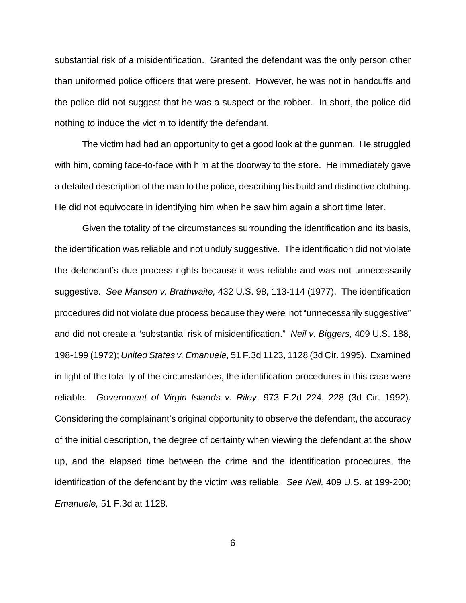substantial risk of a misidentification. Granted the defendant was the only person other than uniformed police officers that were present. However, he was not in handcuffs and the police did not suggest that he was a suspect or the robber. In short, the police did nothing to induce the victim to identify the defendant.

The victim had had an opportunity to get a good look at the gunman. He struggled with him, coming face-to-face with him at the doorway to the store. He immediately gave a detailed description of the man to the police, describing his build and distinctive clothing. He did not equivocate in identifying him when he saw him again a short time later.

Given the totality of the circumstances surrounding the identification and its basis, the identification was reliable and not unduly suggestive. The identification did not violate the defendant's due process rights because it was reliable and was not unnecessarily suggestive. See Manson v. Brathwaite, 432 U.S. 98, 113-114 (1977). The identification procedures did not violate due process because they were not "unnecessarily suggestive" and did not create a "substantial risk of misidentification." Neil v. Biggers, 409 U.S. 188, 198-199 (1972); United States v. Emanuele, 51 F.3d 1123, 1128 (3d Cir. 1995). Examined in light of the totality of the circumstances, the identification procedures in this case were reliable. Government of Virgin Islands v. Riley, 973 F.2d 224, 228 (3d Cir. 1992). Considering the complainant's original opportunity to observe the defendant, the accuracy of the initial description, the degree of certainty when viewing the defendant at the show up, and the elapsed time between the crime and the identification procedures, the identification of the defendant by the victim was reliable. See Neil, 409 U.S. at 199-200; Emanuele, 51 F.3d at 1128.